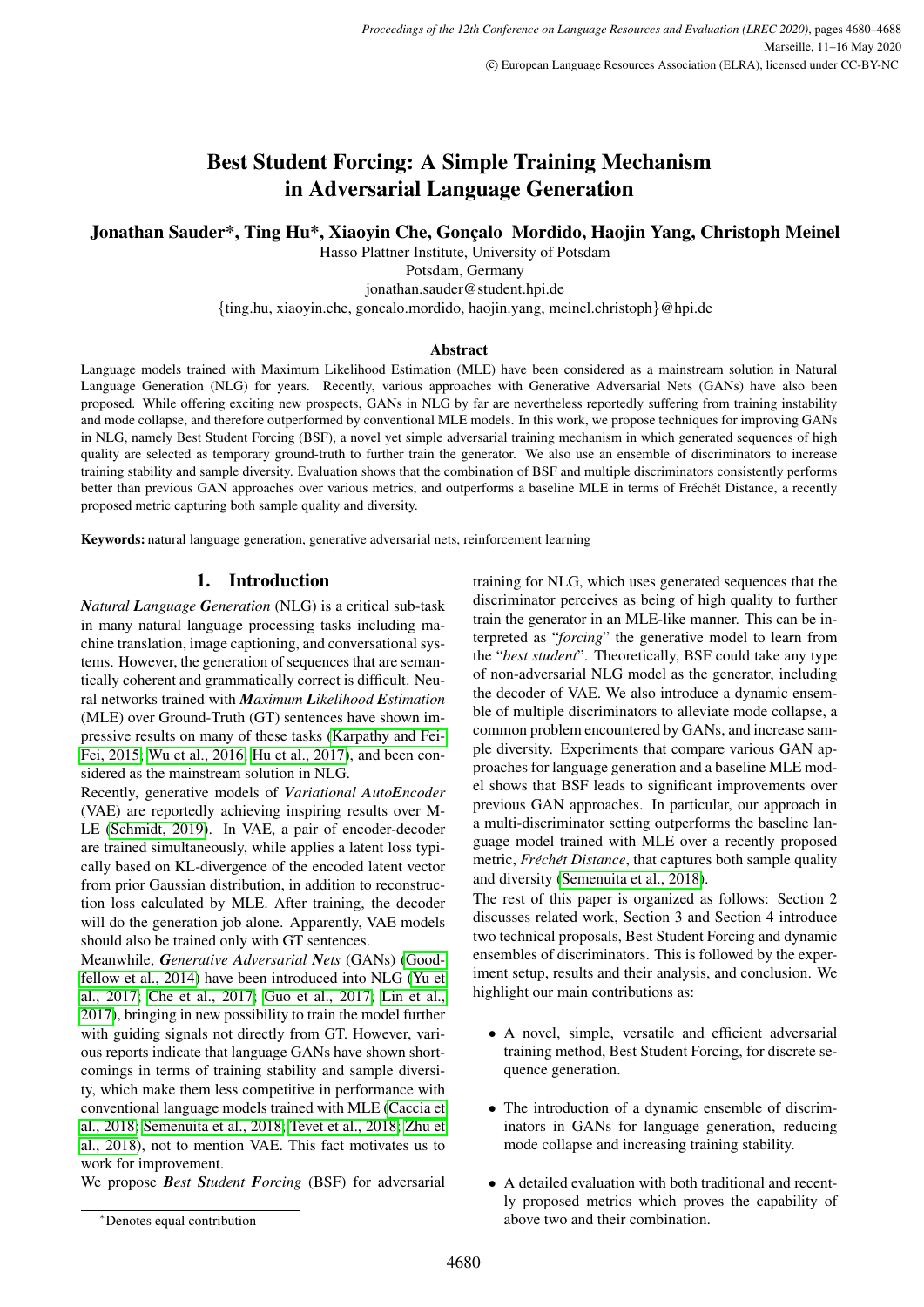# Best Student Forcing: A Simple Training Mechanism in Adversarial Language Generation

# Jonathan Sauder\*, Ting Hu\*, Xiaoyin Che, Gonçalo Mordido, Haojin Yang, Christoph Meinel

Hasso Plattner Institute, University of Potsdam Potsdam, Germany jonathan.sauder@student.hpi.de {ting.hu, xiaoyin.che, goncalo.mordido, haojin.yang, meinel.christoph}@hpi.de

# Abstract

Language models trained with Maximum Likelihood Estimation (MLE) have been considered as a mainstream solution in Natural Language Generation (NLG) for years. Recently, various approaches with Generative Adversarial Nets (GANs) have also been proposed. While offering exciting new prospects, GANs in NLG by far are nevertheless reportedly suffering from training instability and mode collapse, and therefore outperformed by conventional MLE models. In this work, we propose techniques for improving GANs in NLG, namely Best Student Forcing (BSF), a novel yet simple adversarial training mechanism in which generated sequences of high quality are selected as temporary ground-truth to further train the generator. We also use an ensemble of discriminators to increase training stability and sample diversity. Evaluation shows that the combination of BSF and multiple discriminators consistently performs better than previous GAN approaches over various metrics, and outperforms a baseline MLE in terms of Fréchét Distance, a recently proposed metric capturing both sample quality and diversity.

Keywords: natural language generation, generative adversarial nets, reinforcement learning

# 1. Introduction

*Natural Language Generation* (NLG) is a critical sub-task in many natural language processing tasks including machine translation, image captioning, and conversational systems. However, the generation of sequences that are semantically coherent and grammatically correct is difficult. Neural networks trained with *Maximum Likelihood Estimation* (MLE) over Ground-Truth (GT) sentences have shown impressive results on many of these tasks [\(Karpathy and Fei-](#page-7-0)[Fei, 2015;](#page-7-0) [Wu et al., 2016;](#page-7-1) [Hu et al., 2017\)](#page-7-2), and been considered as the mainstream solution in NLG.

Recently, generative models of *Variational AutoEncoder* (VAE) are reportedly achieving inspiring results over M-LE [\(Schmidt, 2019\)](#page-7-3). In VAE, a pair of encoder-decoder are trained simultaneously, while applies a latent loss typically based on KL-divergence of the encoded latent vector from prior Gaussian distribution, in addition to reconstruction loss calculated by MLE. After training, the decoder will do the generation job alone. Apparently, VAE models should also be trained only with GT sentences.

Meanwhile, *Generative Adversarial Nets* (GANs) [\(Good](#page-7-4)[fellow et al., 2014\)](#page-7-4) have been introduced into NLG [\(Yu et](#page-8-0) [al., 2017;](#page-8-0) [Che et al., 2017;](#page-7-5) [Guo et al., 2017;](#page-7-6) [Lin et al.,](#page-7-7) [2017\)](#page-7-7), bringing in new possibility to train the model further with guiding signals not directly from GT. However, various reports indicate that language GANs have shown shortcomings in terms of training stability and sample diversity, which make them less competitive in performance with conventional language models trained with MLE [\(Caccia et](#page-7-8) [al., 2018;](#page-7-8) [Semenuita et al., 2018;](#page-7-9) [Tevet et al., 2018;](#page-7-10) [Zhu et](#page-8-1) [al., 2018\)](#page-8-1), not to mention VAE. This fact motivates us to work for improvement.

We propose *Best Student Forcing* (BSF) for adversarial

training for NLG, which uses generated sequences that the discriminator perceives as being of high quality to further train the generator in an MLE-like manner. This can be interpreted as "*forcing*" the generative model to learn from the "*best student*". Theoretically, BSF could take any type of non-adversarial NLG model as the generator, including the decoder of VAE. We also introduce a dynamic ensemble of multiple discriminators to alleviate mode collapse, a common problem encountered by GANs, and increase sample diversity. Experiments that compare various GAN approaches for language generation and a baseline MLE model shows that BSF leads to significant improvements over previous GAN approaches. In particular, our approach in a multi-discriminator setting outperforms the baseline language model trained with MLE over a recently proposed metric, *Fréchét Distance*, that captures both sample quality and diversity [\(Semenuita et al., 2018\)](#page-7-9).

The rest of this paper is organized as follows: Section 2 discusses related work, Section 3 and Section 4 introduce two technical proposals, Best Student Forcing and dynamic ensembles of discriminators. This is followed by the experiment setup, results and their analysis, and conclusion. We highlight our main contributions as:

- A novel, simple, versatile and efficient adversarial training method, Best Student Forcing, for discrete sequence generation.
- The introduction of a dynamic ensemble of discriminators in GANs for language generation, reducing mode collapse and increasing training stability.
- A detailed evaluation with both traditional and recently proposed metrics which proves the capability of above two and their combination.

<sup>∗</sup>Denotes equal contribution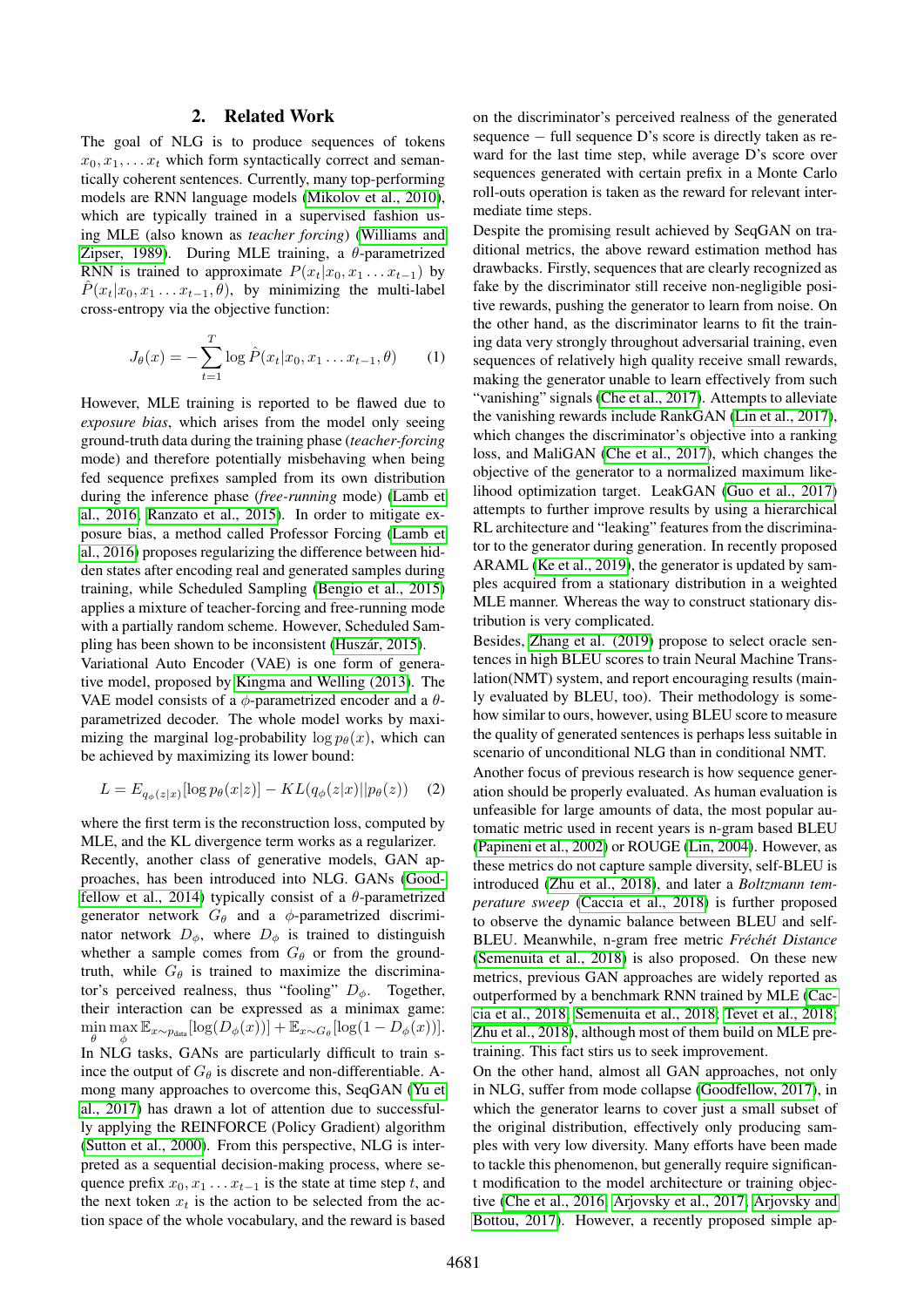### 2. Related Work

The goal of NLG is to produce sequences of tokens  $x_0, x_1, \ldots x_t$  which form syntactically correct and semantically coherent sentences. Currently, many top-performing models are RNN language models [\(Mikolov et al., 2010\)](#page-7-11), which are typically trained in a supervised fashion using MLE (also known as *teacher forcing*) [\(Williams and](#page-7-12) [Zipser, 1989\)](#page-7-12). During MLE training, a  $\theta$ -parametrized RNN is trained to approximate  $P(x_t|x_0, x_1 \ldots x_{t-1})$  by  $P(x_t|x_0, x_1 \ldots x_{t-1}, \theta)$ , by minimizing the multi-label cross-entropy via the objective function:

$$
J_{\theta}(x) = -\sum_{t=1}^{T} \log \hat{P}(x_t | x_0, x_1 \dots x_{t-1}, \theta)
$$
 (1)

However, MLE training is reported to be flawed due to *exposure bias*, which arises from the model only seeing ground-truth data during the training phase (*teacher-forcing* mode) and therefore potentially misbehaving when being fed sequence prefixes sampled from its own distribution during the inference phase (*free-running* mode) [\(Lamb et](#page-7-13) [al., 2016;](#page-7-13) [Ranzato et al., 2015\)](#page-7-14). In order to mitigate exposure bias, a method called Professor Forcing [\(Lamb et](#page-7-13) [al., 2016\)](#page-7-13) proposes regularizing the difference between hidden states after encoding real and generated samples during training, while Scheduled Sampling [\(Bengio et al., 2015\)](#page-6-0) applies a mixture of teacher-forcing and free-running mode with a partially random scheme. However, Scheduled Sampling has been shown to be inconsistent (Huszár, 2015).

Variational Auto Encoder (VAE) is one form of generative model, proposed by [Kingma and Welling \(2013\)](#page-7-16). The VAE model consists of a  $\phi$ -parametrized encoder and a  $\theta$ parametrized decoder. The whole model works by maximizing the marginal log-probability  $\log p_{\theta}(x)$ , which can be achieved by maximizing its lower bound:

$$
L = E_{q_{\phi}(z|x)}[\log p_{\theta}(x|z)] - KL(q_{\phi}(z|x)||p_{\theta}(z)) \quad (2)
$$

where the first term is the reconstruction loss, computed by MLE, and the KL divergence term works as a regularizer. Recently, another class of generative models, GAN approaches, has been introduced into NLG. GANs [\(Good](#page-7-4)[fellow et al., 2014\)](#page-7-4) typically consist of a  $\theta$ -parametrized generator network  $G_{\theta}$  and a  $\phi$ -parametrized discriminator network  $D_{\phi}$ , where  $D_{\phi}$  is trained to distinguish whether a sample comes from  $G_{\theta}$  or from the groundtruth, while  $G_{\theta}$  is trained to maximize the discriminator's perceived realness, thus "fooling"  $D_{\phi}$ . Together, their interaction can be expressed as a minimax game:  $\min_{\theta} \max_{\phi} \mathbb{E}_{x \sim p_{\text{data}}}[\log(D_{\phi}(x))] + \mathbb{E}_{x \sim G_{\theta}}[\log(1 - D_{\phi}(x))].$ In NLG tasks, GANs are particularly difficult to train since the output of  $G_{\theta}$  is discrete and non-differentiable. Among many approaches to overcome this, SeqGAN [\(Yu et](#page-8-0) [al., 2017\)](#page-8-0) has drawn a lot of attention due to successfully applying the REINFORCE (Policy Gradient) algorithm [\(Sutton et al., 2000\)](#page-7-17). From this perspective, NLG is interpreted as a sequential decision-making process, where sequence prefix  $x_0, x_1 \ldots x_{t-1}$  is the state at time step t, and the next token  $x_t$  is the action to be selected from the action space of the whole vocabulary, and the reward is based on the discriminator's perceived realness of the generated sequence − full sequence D's score is directly taken as reward for the last time step, while average D's score over sequences generated with certain prefix in a Monte Carlo roll-outs operation is taken as the reward for relevant intermediate time steps.

Despite the promising result achieved by SeqGAN on traditional metrics, the above reward estimation method has drawbacks. Firstly, sequences that are clearly recognized as fake by the discriminator still receive non-negligible positive rewards, pushing the generator to learn from noise. On the other hand, as the discriminator learns to fit the training data very strongly throughout adversarial training, even sequences of relatively high quality receive small rewards, making the generator unable to learn effectively from such "vanishing" signals [\(Che et al., 2017\)](#page-7-5). Attempts to alleviate the vanishing rewards include RankGAN [\(Lin et al., 2017\)](#page-7-7), which changes the discriminator's objective into a ranking loss, and MaliGAN [\(Che et al., 2017\)](#page-7-5), which changes the objective of the generator to a normalized maximum likelihood optimization target. LeakGAN [\(Guo et al., 2017\)](#page-7-6) attempts to further improve results by using a hierarchical RL architecture and "leaking" features from the discriminator to the generator during generation. In recently proposed ARAML [\(Ke et al., 2019\)](#page-7-18), the generator is updated by samples acquired from a stationary distribution in a weighted MLE manner. Whereas the way to construct stationary distribution is very complicated.

Besides, [Zhang et al. \(2019\)](#page-8-2) propose to select oracle sentences in high BLEU scores to train Neural Machine Translation(NMT) system, and report encouraging results (mainly evaluated by BLEU, too). Their methodology is somehow similar to ours, however, using BLEU score to measure the quality of generated sentences is perhaps less suitable in scenario of unconditional NLG than in conditional NMT.

Another focus of previous research is how sequence generation should be properly evaluated. As human evaluation is unfeasible for large amounts of data, the most popular automatic metric used in recent years is n-gram based BLEU [\(Papineni et al., 2002\)](#page-7-19) or ROUGE [\(Lin, 2004\)](#page-7-20). However, as these metrics do not capture sample diversity, self-BLEU is introduced [\(Zhu et al., 2018\)](#page-8-1), and later a *Boltzmann temperature sweep* [\(Caccia et al., 2018\)](#page-7-8) is further proposed to observe the dynamic balance between BLEU and self-BLEU. Meanwhile, n-gram free metric *Fréchét Distance* [\(Semenuita et al., 2018\)](#page-7-9) is also proposed. On these new metrics, previous GAN approaches are widely reported as outperformed by a benchmark RNN trained by MLE [\(Cac](#page-7-8)[cia et al., 2018;](#page-7-8) [Semenuita et al., 2018;](#page-7-9) [Tevet et al., 2018;](#page-7-10) [Zhu et al., 2018\)](#page-8-1), although most of them build on MLE pretraining. This fact stirs us to seek improvement.

On the other hand, almost all GAN approaches, not only in NLG, suffer from mode collapse [\(Goodfellow, 2017\)](#page-7-21), in which the generator learns to cover just a small subset of the original distribution, effectively only producing samples with very low diversity. Many efforts have been made to tackle this phenomenon, but generally require significant modification to the model architecture or training objective [\(Che et al., 2016;](#page-7-22) [Arjovsky et al., 2017;](#page-6-1) [Arjovsky and](#page-6-2) [Bottou, 2017\)](#page-6-2). However, a recently proposed simple ap-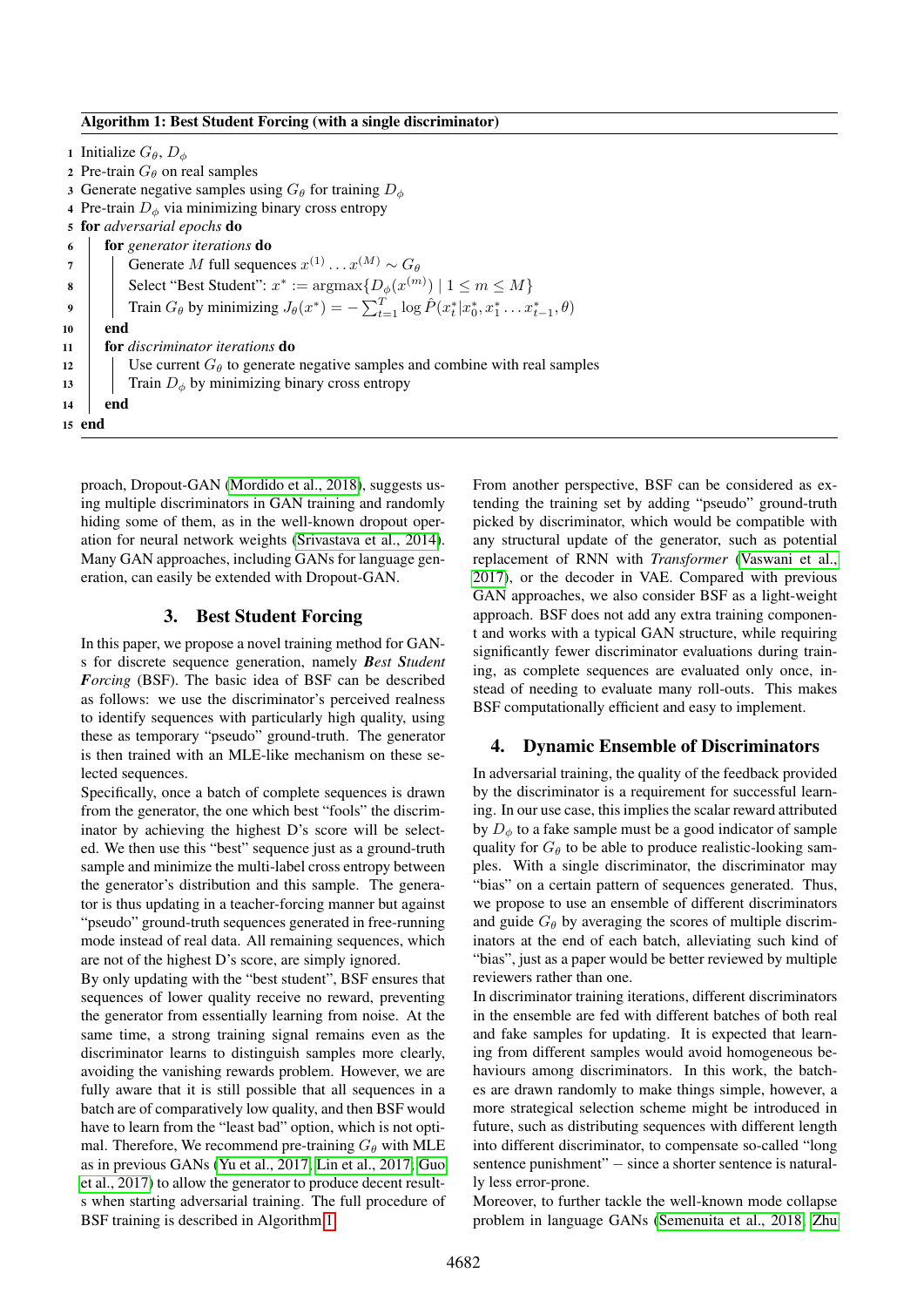#### Algorithm 1: Best Student Forcing (with a single discriminator)

1 Initialize  $G_{\theta}, D_{\phi}$ 2 Pre-train  $G_{\theta}$  on real samples 3 Generate negative samples using  $G_{\theta}$  for training  $D_{\phi}$ 4 Pre-train  $D_{\phi}$  via minimizing binary cross entropy <sup>5</sup> for *adversarial epochs* do <sup>6</sup> for *generator iterations* do  $7 \mid$  Generate M full sequences  $x^{(1)} \dots x^{(M)} \sim G_{\theta}$ 8 Select "Best Student":  $x^* := \text{argmax} \{ D_{\phi}(x^{(m)}) \mid 1 \leq m \leq M \}$ 9 Train  $G_\theta$  by minimizing  $J_\theta(x^*) = -\sum_{t=1}^T \log \hat{P}(x_t^* | x_0^*, x_1^* \dots x_{t-1}^*, \theta)$ 10 end <sup>11</sup> for *discriminator iterations* do 12 Use current  $G_{\theta}$  to generate negative samples and combine with real samples 13 Train  $D_{\phi}$  by minimizing binary cross entropy 14 end 15 end

<span id="page-2-0"></span>proach, Dropout-GAN [\(Mordido et al., 2018\)](#page-7-23), suggests using multiple discriminators in GAN training and randomly hiding some of them, as in the well-known dropout operation for neural network weights [\(Srivastava et al., 2014\)](#page-7-24). Many GAN approaches, including GANs for language generation, can easily be extended with Dropout-GAN.

### 3. Best Student Forcing

In this paper, we propose a novel training method for GANs for discrete sequence generation, namely *Best Student Forcing* (BSF). The basic idea of BSF can be described as follows: we use the discriminator's perceived realness to identify sequences with particularly high quality, using these as temporary "pseudo" ground-truth. The generator is then trained with an MLE-like mechanism on these selected sequences.

Specifically, once a batch of complete sequences is drawn from the generator, the one which best "fools" the discriminator by achieving the highest D's score will be selected. We then use this "best" sequence just as a ground-truth sample and minimize the multi-label cross entropy between the generator's distribution and this sample. The generator is thus updating in a teacher-forcing manner but against "pseudo" ground-truth sequences generated in free-running mode instead of real data. All remaining sequences, which are not of the highest D's score, are simply ignored.

By only updating with the "best student", BSF ensures that sequences of lower quality receive no reward, preventing the generator from essentially learning from noise. At the same time, a strong training signal remains even as the discriminator learns to distinguish samples more clearly, avoiding the vanishing rewards problem. However, we are fully aware that it is still possible that all sequences in a batch are of comparatively low quality, and then BSF would have to learn from the "least bad" option, which is not optimal. Therefore, We recommend pre-training  $G_{\theta}$  with MLE as in previous GANs [\(Yu et al., 2017;](#page-8-0) [Lin et al., 2017;](#page-7-7) [Guo](#page-7-6) [et al., 2017\)](#page-7-6) to allow the generator to produce decent results when starting adversarial training. The full procedure of BSF training is described in Algorithm [1.](#page-2-0)

From another perspective, BSF can be considered as extending the training set by adding "pseudo" ground-truth picked by discriminator, which would be compatible with any structural update of the generator, such as potential replacement of RNN with *Transformer* [\(Vaswani et al.,](#page-7-25) [2017\)](#page-7-25), or the decoder in VAE. Compared with previous GAN approaches, we also consider BSF as a light-weight approach. BSF does not add any extra training component and works with a typical GAN structure, while requiring significantly fewer discriminator evaluations during training, as complete sequences are evaluated only once, instead of needing to evaluate many roll-outs. This makes BSF computationally efficient and easy to implement.

### 4. Dynamic Ensemble of Discriminators

In adversarial training, the quality of the feedback provided by the discriminator is a requirement for successful learning. In our use case, this implies the scalar reward attributed by  $D_{\phi}$  to a fake sample must be a good indicator of sample quality for  $G_{\theta}$  to be able to produce realistic-looking samples. With a single discriminator, the discriminator may "bias" on a certain pattern of sequences generated. Thus, we propose to use an ensemble of different discriminators and guide  $G_{\theta}$  by averaging the scores of multiple discriminators at the end of each batch, alleviating such kind of "bias", just as a paper would be better reviewed by multiple reviewers rather than one.

In discriminator training iterations, different discriminators in the ensemble are fed with different batches of both real and fake samples for updating. It is expected that learning from different samples would avoid homogeneous behaviours among discriminators. In this work, the batches are drawn randomly to make things simple, however, a more strategical selection scheme might be introduced in future, such as distributing sequences with different length into different discriminator, to compensate so-called "long sentence punishment" – since a shorter sentence is naturally less error-prone.

Moreover, to further tackle the well-known mode collapse problem in language GANs [\(Semenuita et al., 2018;](#page-7-9) [Zhu](#page-8-1)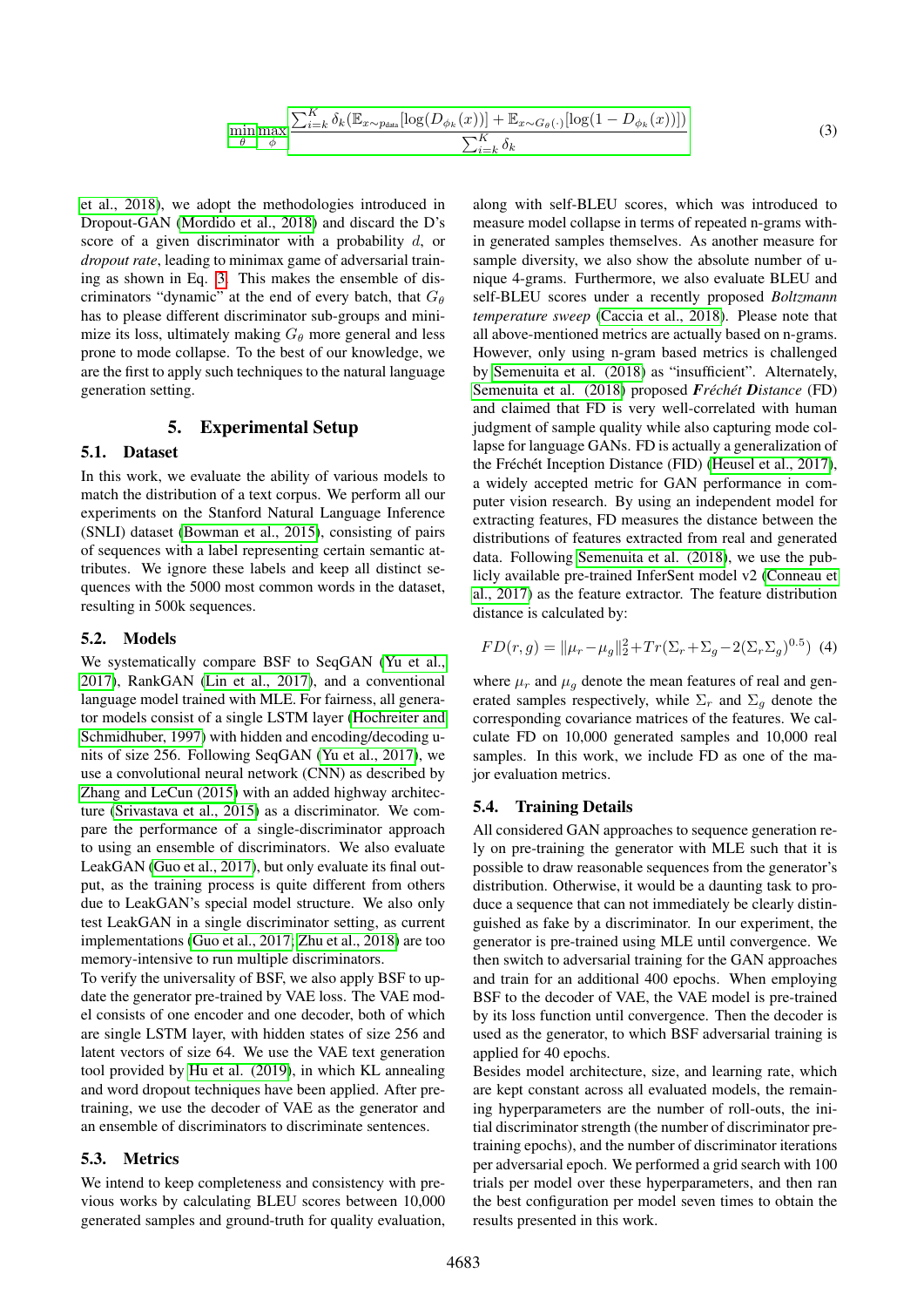$$
\min_{\theta} \max_{\phi} \frac{\sum_{i=k}^{K} \delta_k (\mathbb{E}_{x \sim p_{data}} [\log(D_{\phi_k}(x))] + \mathbb{E}_{x \sim G_{\theta}(\cdot)} [\log(1 - D_{\phi_k}(x))])}{\sum_{i=k}^{K} \delta_k} \tag{3}
$$

<span id="page-3-0"></span>[et al., 2018\)](#page-8-1), we adopt the methodologies introduced in Dropout-GAN [\(Mordido et al., 2018\)](#page-7-23) and discard the D's score of a given discriminator with a probability d, or *dropout rate*, leading to minimax game of adversarial training as shown in Eq. [3.](#page-3-0) This makes the ensemble of discriminators "dynamic" at the end of every batch, that  $G_{\theta}$ has to please different discriminator sub-groups and minimize its loss, ultimately making  $G_{\theta}$  more general and less prone to mode collapse. To the best of our knowledge, we are the first to apply such techniques to the natural language generation setting.

## 5. Experimental Setup

#### 5.1. Dataset

In this work, we evaluate the ability of various models to match the distribution of a text corpus. We perform all our experiments on the Stanford Natural Language Inference (SNLI) dataset [\(Bowman et al., 2015\)](#page-6-3), consisting of pairs of sequences with a label representing certain semantic attributes. We ignore these labels and keep all distinct sequences with the 5000 most common words in the dataset, resulting in 500k sequences.

#### 5.2. Models

We systematically compare BSF to SeqGAN [\(Yu et al.,](#page-8-0) [2017\)](#page-8-0), RankGAN [\(Lin et al., 2017\)](#page-7-7), and a conventional language model trained with MLE. For fairness, all generator models consist of a single LSTM layer [\(Hochreiter and](#page-7-26) [Schmidhuber, 1997\)](#page-7-26) with hidden and encoding/decoding units of size 256. Following SeqGAN [\(Yu et al., 2017\)](#page-8-0), we use a convolutional neural network (CNN) as described by [Zhang and LeCun \(2015\)](#page-8-3) with an added highway architecture [\(Srivastava et al., 2015\)](#page-7-27) as a discriminator. We compare the performance of a single-discriminator approach to using an ensemble of discriminators. We also evaluate LeakGAN [\(Guo et al., 2017\)](#page-7-6), but only evaluate its final output, as the training process is quite different from others due to LeakGAN's special model structure. We also only test LeakGAN in a single discriminator setting, as current implementations [\(Guo et al., 2017;](#page-7-6) [Zhu et al., 2018\)](#page-8-1) are too memory-intensive to run multiple discriminators.

To verify the universality of BSF, we also apply BSF to update the generator pre-trained by VAE loss. The VAE model consists of one encoder and one decoder, both of which are single LSTM layer, with hidden states of size 256 and latent vectors of size 64. We use the VAE text generation tool provided by [Hu et al. \(2019\)](#page-7-28), in which KL annealing and word dropout techniques have been applied. After pretraining, we use the decoder of VAE as the generator and an ensemble of discriminators to discriminate sentences.

#### 5.3. Metrics

We intend to keep completeness and consistency with previous works by calculating BLEU scores between 10,000 generated samples and ground-truth for quality evaluation, along with self-BLEU scores, which was introduced to measure model collapse in terms of repeated n-grams within generated samples themselves. As another measure for sample diversity, we also show the absolute number of unique 4-grams. Furthermore, we also evaluate BLEU and self-BLEU scores under a recently proposed *Boltzmann temperature sweep* [\(Caccia et al., 2018\)](#page-7-8). Please note that all above-mentioned metrics are actually based on n-grams. However, only using n-gram based metrics is challenged by [Semenuita et al. \(2018\)](#page-7-9) as "insufficient". Alternately, [Semenuita et al. \(2018\)](#page-7-9) proposed **F**réchét Distance (FD) and claimed that FD is very well-correlated with human judgment of sample quality while also capturing mode collapse for language GANs. FD is actually a generalization of the Fréchét Inception Distance (FID) [\(Heusel et al., 2017\)](#page-7-29), a widely accepted metric for GAN performance in computer vision research. By using an independent model for extracting features, FD measures the distance between the distributions of features extracted from real and generated data. Following [Semenuita et al. \(2018\)](#page-7-9), we use the publicly available pre-trained InferSent model v2 [\(Conneau et](#page-7-30) [al., 2017\)](#page-7-30) as the feature extractor. The feature distribution distance is calculated by:

$$
FD(r, g) = ||\mu_r - \mu_g||_2^2 + Tr(\Sigma_r + \Sigma_g - 2(\Sigma_r \Sigma_g)^{0.5})
$$
(4)

where  $\mu_r$  and  $\mu_g$  denote the mean features of real and generated samples respectively, while  $\Sigma_r$  and  $\Sigma_q$  denote the corresponding covariance matrices of the features. We calculate FD on 10,000 generated samples and 10,000 real samples. In this work, we include FD as one of the major evaluation metrics.

#### 5.4. Training Details

All considered GAN approaches to sequence generation rely on pre-training the generator with MLE such that it is possible to draw reasonable sequences from the generator's distribution. Otherwise, it would be a daunting task to produce a sequence that can not immediately be clearly distinguished as fake by a discriminator. In our experiment, the generator is pre-trained using MLE until convergence. We then switch to adversarial training for the GAN approaches and train for an additional 400 epochs. When employing BSF to the decoder of VAE, the VAE model is pre-trained by its loss function until convergence. Then the decoder is used as the generator, to which BSF adversarial training is applied for 40 epochs.

Besides model architecture, size, and learning rate, which are kept constant across all evaluated models, the remaining hyperparameters are the number of roll-outs, the initial discriminator strength (the number of discriminator pretraining epochs), and the number of discriminator iterations per adversarial epoch. We performed a grid search with 100 trials per model over these hyperparameters, and then ran the best configuration per model seven times to obtain the results presented in this work.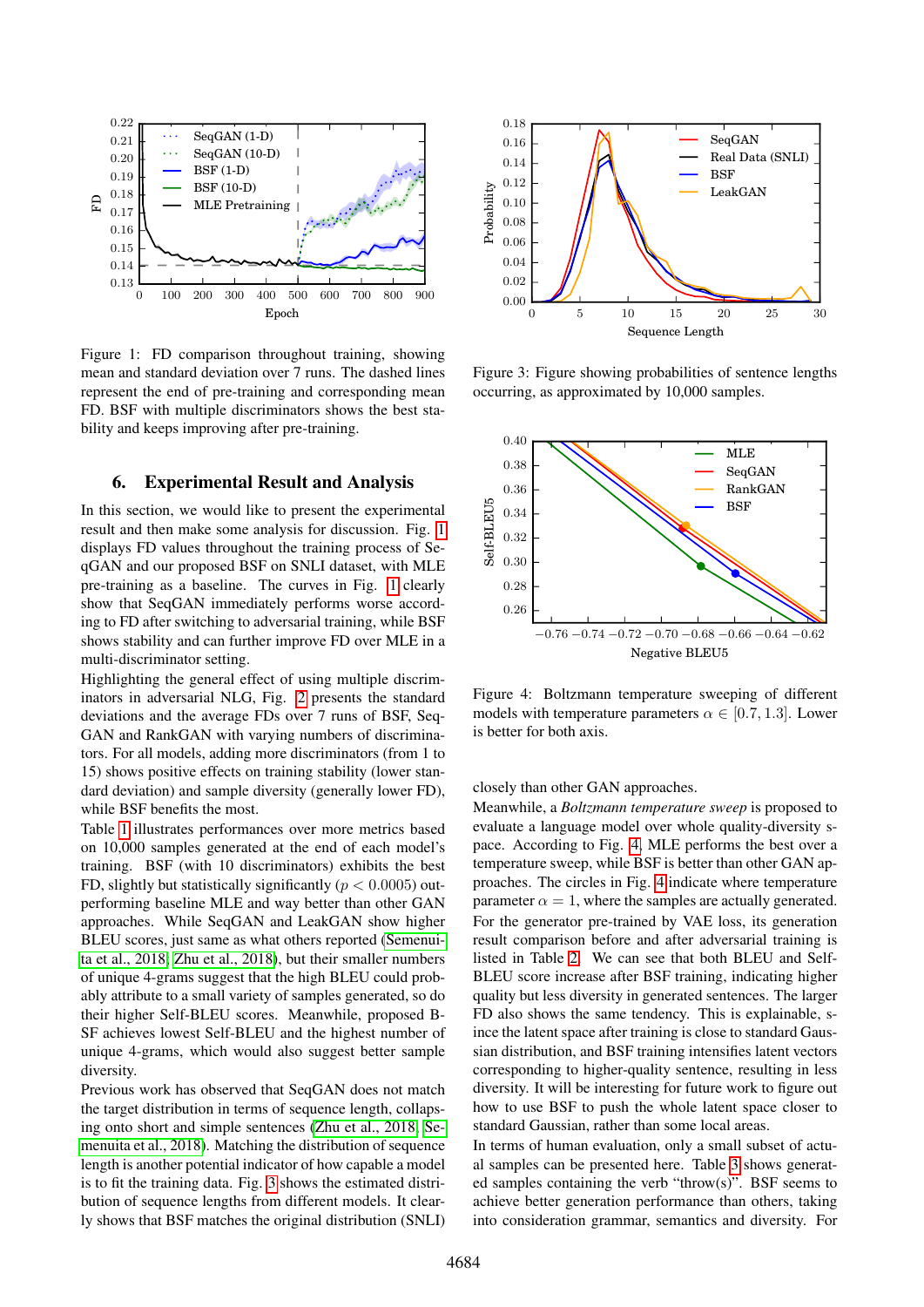<span id="page-4-0"></span>

Figure 1: FD comparison throughout training, showing mean and standard deviation over 7 runs. The dashed lines represent the end of pre-training and corresponding mean FD. BSF with multiple discriminators shows the best stability and keeps improving after pre-training.

# 6. Experimental Result and Analysis

In this section, we would like to present the experimental result and then make some analysis for discussion. Fig. [1](#page-4-0) displays FD values throughout the training process of SeqGAN and our proposed BSF on SNLI dataset, with MLE pre-training as a baseline. The curves in Fig. [1](#page-4-0) clearly show that SeqGAN immediately performs worse according to FD after switching to adversarial training, while BSF shows stability and can further improve FD over MLE in a multi-discriminator setting.

Highlighting the general effect of using multiple discriminators in adversarial NLG, Fig. [2](#page-5-0) presents the standard deviations and the average FDs over 7 runs of BSF, Seq-GAN and RankGAN with varying numbers of discriminators. For all models, adding more discriminators (from 1 to 15) shows positive effects on training stability (lower standard deviation) and sample diversity (generally lower FD), while BSF benefits the most.

0 100 200 300 300 600 600 700 800 900 600 700 800 900 600 700 800 900 600 700 800 900 600 700 800 800 500 Epoch<br>
1: FD comparison throughout training, showing<br>
1: the end of pectraining and corresponding mean of pectraini Table [1](#page-5-1) illustrates performances over more metrics based on 10,000 samples generated at the end of each model's training. BSF (with 10 discriminators) exhibits the best FD, slightly but statistically significantly ( $p < 0.0005$ ) outperforming baseline MLE and way better than other GAN approaches. While SeqGAN and LeakGAN show higher BLEU scores, just same as what others reported [\(Semenui](#page-7-9)[ta et al., 2018;](#page-7-9) [Zhu et al., 2018\)](#page-8-1), but their smaller numbers of unique 4-grams suggest that the high BLEU could probably attribute to a small variety of samples generated, so do their higher Self-BLEU scores. Meanwhile, proposed B-SF achieves lowest Self-BLEU and the highest number of unique 4-grams, which would also suggest better sample diversity.

Previous work has observed that SeqGAN does not match the target distribution in terms of sequence length, collapsing onto short and simple sentences [\(Zhu et al., 2018;](#page-8-1) [Se](#page-7-9)[menuita et al., 2018\)](#page-7-9). Matching the distribution of sequence length is another potential indicator of how capable a model is to fit the training data. Fig. [3](#page-4-1) shows the estimated distribution of sequence lengths from different models. It clearly shows that BSF matches the original distribution (SNLI)

<span id="page-4-1"></span>

Figure 3: Figure showing probabilities of sentence lengths occurring, as approximated by 10,000 samples.

<span id="page-4-2"></span>

Figure 4: Boltzmann temperature sweeping of different models with temperature parameters  $\alpha \in [0.7, 1.3]$ . Lower is better for both axis.

#### closely than other GAN approaches.

Meanwhile, a *Boltzmann temperature sweep* is proposed to evaluate a language model over whole quality-diversity space. According to Fig. [4,](#page-4-2) MLE performs the best over a temperature sweep, while BSF is better than other GAN approaches. The circles in Fig. [4](#page-4-2) indicate where temperature parameter  $\alpha = 1$ , where the samples are actually generated. For the generator pre-trained by VAE loss, its generation result comparison before and after adversarial training is listed in Table [2.](#page-5-2) We can see that both BLEU and Self-BLEU score increase after BSF training, indicating higher quality but less diversity in generated sentences. The larger FD also shows the same tendency. This is explainable, since the latent space after training is close to standard Gaussian distribution, and BSF training intensifies latent vectors corresponding to higher-quality sentence, resulting in less diversity. It will be interesting for future work to figure out how to use BSF to push the whole latent space closer to standard Gaussian, rather than some local areas.

In terms of human evaluation, only a small subset of actual samples can be presented here. Table [3](#page-6-4) shows generated samples containing the verb "throw(s)". BSF seems to achieve better generation performance than others, taking into consideration grammar, semantics and diversity. For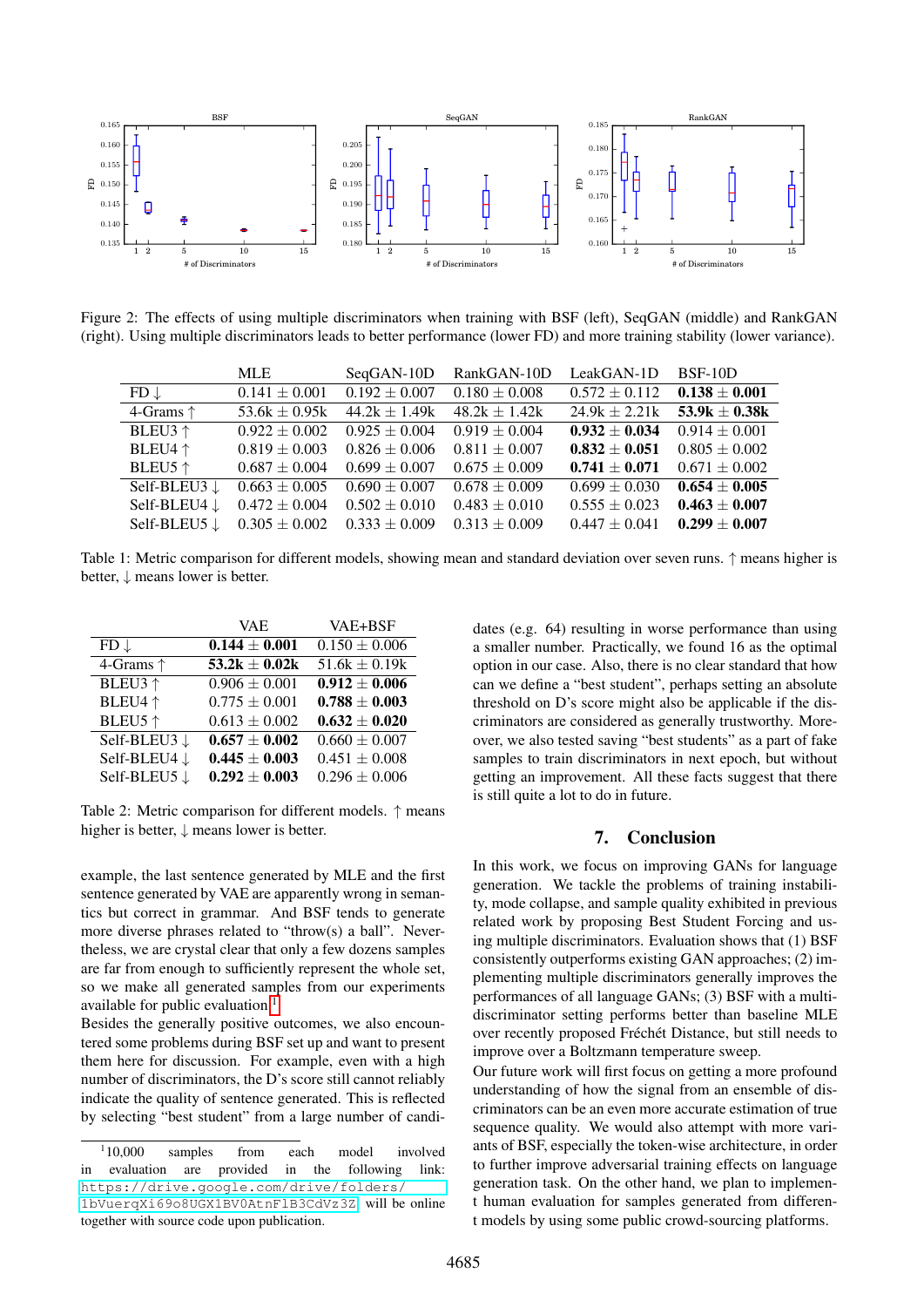<span id="page-5-0"></span>

<span id="page-5-1"></span>Figure 2: The effects of using multiple discriminators when training with BSF (left), SeqGAN (middle) and RankGAN (right). Using multiple discriminators leads to better performance (lower FD) and more training stability (lower variance).

| $1\quad 2$<br>5                              | 10<br>15<br># of Discriminators                | $1\quad 2$<br>5                                                                                                  | 10<br>15                                    | $1\quad2$                                            | 10<br>5                                              |  |
|----------------------------------------------|------------------------------------------------|------------------------------------------------------------------------------------------------------------------|---------------------------------------------|------------------------------------------------------|------------------------------------------------------|--|
|                                              |                                                |                                                                                                                  | # of Discriminators                         |                                                      | # of Discriminators                                  |  |
|                                              |                                                |                                                                                                                  |                                             |                                                      |                                                      |  |
|                                              |                                                | 2: The effects of using multiple discriminators when training with BSF (left), SeqGAN (middle) and Ra            |                                             |                                                      |                                                      |  |
|                                              |                                                | . Using multiple discriminators leads to better performance (lower FD) and more training stability (lower va     |                                             |                                                      |                                                      |  |
|                                              |                                                |                                                                                                                  |                                             |                                                      |                                                      |  |
| $FD \downarrow$                              | <b>MLE</b><br>$0.141 \pm 0.001$                | SeqGAN-10D<br>$0.192 \pm 0.007$                                                                                  | RankGAN-10D<br>$0.180 \pm 0.008$            | LeakGAN-1D<br>$0.572 \pm 0.112$                      | BSF-10D<br>$0.138 \pm 0.001$                         |  |
| 4-Grams $\uparrow$                           | 53.6 $k \pm 0.95k$                             | $44.2k \pm 1.49k$                                                                                                | $48.2k \pm 1.42k$                           | $24.9k \pm 2.21k$                                    | $53.9k \pm 0.38k$                                    |  |
| BLEU3 ↑                                      | $0.922 \pm 0.002$                              | $0.925 \pm 0.004$                                                                                                | $0.919 \pm 0.004$                           | $0.932 \pm 0.034$                                    | $0.914 \pm 0.001$                                    |  |
| BLEU4 ↑                                      | $0.819 \pm 0.003$                              | $0.826 \pm 0.006$                                                                                                | $0.811 \pm 0.007$                           | $0.832 \pm 0.051$                                    | $0.805 \pm 0.002$                                    |  |
| <b>BLEU5</b> ↑                               | $0.687 \pm 0.004$                              | $0.699 \pm 0.007$                                                                                                | $0.675 \pm 0.009$                           | $0.741 \pm 0.071$                                    | $0.671 \pm 0.002$                                    |  |
| Self-BLEU3↓                                  | $0.663 \pm 0.005$                              | $0.690 \pm 0.007$                                                                                                | $\sqrt{0.678 \pm 0.009}$                    | $0.699 \pm 0.030$                                    | $0.654 \pm 0.005$                                    |  |
| Self-BLEU4 $\downarrow$                      | $0.472 \pm 0.004$                              | $0.502 \pm 0.010$                                                                                                | $0.483 \pm 0.010$                           | $0.555 \pm 0.023$                                    | $0.463 \pm 0.007$                                    |  |
| Self-BLEU5 $\downarrow$                      | $0.305 \pm 0.002$                              | $0.333 \pm 0.009$                                                                                                | $0.313 \pm 0.009$                           | $0.447 \pm 0.041$                                    | $0.299 \pm 0.007$                                    |  |
|                                              |                                                |                                                                                                                  |                                             |                                                      |                                                      |  |
|                                              |                                                | 1: Metric comparison for different models, showing mean and standard deviation over seven runs. $\uparrow$ means |                                             |                                                      |                                                      |  |
| $\downarrow$ means lower is better.          |                                                |                                                                                                                  |                                             |                                                      |                                                      |  |
|                                              |                                                |                                                                                                                  |                                             |                                                      |                                                      |  |
|                                              |                                                |                                                                                                                  |                                             |                                                      |                                                      |  |
|                                              | <b>VAE</b>                                     | VAE+BSF                                                                                                          |                                             |                                                      | dates (e.g. 64) resulting in worse performance the   |  |
| ↓                                            | $0.144 \pm 0.001$                              | $\overline{0.150 \pm 0.006}$                                                                                     |                                             |                                                      | a smaller number. Practically, we found 16 as the    |  |
| }rams ↑                                      | $53.2k \pm 0.02k$                              | $51.6k \pm 0.19k$                                                                                                |                                             |                                                      | option in our case. Also, there is no clear standard |  |
| EU3 ↑                                        | $0.906 \pm 0.001$                              | $0.912 \pm 0.006$                                                                                                |                                             |                                                      | can we define a "best student", perhaps setting an   |  |
| EU4 ↑                                        | $0.775 \pm 0.001$                              | $0.788 \pm 0.003$                                                                                                |                                             |                                                      | threshold on D's score might also be applicable if   |  |
| EU5 $\uparrow$                               | $0.613 \pm 0.002$                              | $0.632 \pm 0.020$                                                                                                |                                             |                                                      | criminators are considered as generally trustworth   |  |
| f-BLEU3 $\downarrow$                         | $0.657 \pm 0.002$<br>$0.445 \pm 0.003$         | $\overline{0.660} \pm 0.007$<br>$0.451 \pm 0.008$                                                                |                                             |                                                      | over, we also tested saving "best students" as a par |  |
| f-BLEU4 $\downarrow$<br>f-BLEU5 $\downarrow$ | $0.292 \pm 0.003$                              | $0.296 \pm 0.006$                                                                                                |                                             |                                                      | samples to train discriminators in next epoch, but   |  |
|                                              |                                                |                                                                                                                  |                                             | is still quite a lot to do in future.                | getting an improvement. All these facts suggest t    |  |
|                                              |                                                | 2: Metric comparison for different models. $\uparrow$ means                                                      |                                             |                                                      |                                                      |  |
|                                              | is better, $\downarrow$ means lower is better. |                                                                                                                  |                                             |                                                      |                                                      |  |
|                                              |                                                |                                                                                                                  |                                             | 7.                                                   | Conclusion                                           |  |
|                                              |                                                |                                                                                                                  |                                             |                                                      | In this work, we focus on improving GANs for 1       |  |
|                                              |                                                | le, the last sentence generated by MLE and the first                                                             |                                             | generation. We tackle the problems of training       |                                                      |  |
|                                              |                                                | ce generated by VAE are apparently wrong in seman-<br>at correct in grammar. And BSF tends to generate           |                                             |                                                      | ty, mode collapse, and sample quality exhibited in   |  |
|                                              |                                                | diverse phrases related to "throw(s) a ball". Never-                                                             |                                             |                                                      | related work by proposing Best Student Forcing       |  |
|                                              |                                                |                                                                                                                  |                                             |                                                      | ing multiple discriminators. Evaluation shows that   |  |
|                                              |                                                | s, we are crystal clear that only a few dozens samples<br>from enough to sufficiently represent the whole set,   |                                             |                                                      | consistently outperforms existing GAN approaches     |  |
|                                              |                                                | make all generated samples from our experiments                                                                  |                                             |                                                      | plementing multiple discriminators generally impo    |  |
| ble for public evaluation <sup>1</sup>       |                                                |                                                                                                                  |                                             |                                                      | performances of all language GANs; (3) BSF with      |  |
|                                              |                                                | es the generally positive outcomes, we also encoun-                                                              |                                             |                                                      | discriminator setting performs better than baseli    |  |
|                                              |                                                | ome problems during BSF set up and want to present                                                               |                                             |                                                      | over recently proposed Fréchét Distance, but still   |  |
|                                              |                                                | nere for discussion. For example, even with a high                                                               | improve over a Boltzmann temperature sweep. |                                                      |                                                      |  |
|                                              |                                                | er of discriminators, the D's score still cannot reliably                                                        |                                             |                                                      | Our future work will first focus on getting a more p |  |
|                                              |                                                | te the quality of sentence generated. This is reflected                                                          |                                             |                                                      | understanding of how the signal from an ensembl      |  |
|                                              |                                                | ecting "best student" from a large number of candi-                                                              |                                             |                                                      | criminators can be an even more accurate estimatic   |  |
|                                              |                                                |                                                                                                                  |                                             |                                                      | sequence quality. We would also attempt with m       |  |
| ,000<br>samples                              | from<br>each                                   | involved<br>model                                                                                                |                                             |                                                      | ants of BSF, especially the token-wise architecture. |  |
| aluation<br>are                              | provided<br>in                                 | the<br>following<br>link:                                                                                        |                                             | to further improve adversarial training effects on 1 |                                                      |  |
|                                              | ://drive.google.com/drive/folders/             |                                                                                                                  |                                             |                                                      | generation task. On the other hand, we plan to in    |  |
|                                              |                                                | rqXi69o8UGX1BV0AtnF1B3CdVz3Z, will be online                                                                     |                                             | t human evaluation for samples generated from        |                                                      |  |
|                                              | er with source code upon publication.          |                                                                                                                  |                                             |                                                      | t models by using some public crowd-sourcing pla     |  |
|                                              |                                                |                                                                                                                  |                                             |                                                      |                                                      |  |
|                                              |                                                |                                                                                                                  | 4685                                        |                                                      |                                                      |  |

Table 1: Metric comparison for different models, showing mean and standard deviation over seven runs. ↑ means higher is better,  $\downarrow$  means lower is better.

<span id="page-5-2"></span>

|                         | VAE               | VAE+BSF            |
|-------------------------|-------------------|--------------------|
| $FD \downarrow$         | $0.144 \pm 0.001$ | $0.150 \pm 0.006$  |
| 4-Grams $\uparrow$      | 53.2k $\pm$ 0.02k | 51.6 $k \pm 0.19k$ |
| BLEU3 ↑                 | $0.906 \pm 0.001$ | $0.912 \pm 0.006$  |
| BLEU4 ↑                 | $0.775 \pm 0.001$ | $0.788 \pm 0.003$  |
| BLEU5 ↑                 | $0.613 \pm 0.002$ | $0.632 \pm 0.020$  |
| Self-BLEU3 $\downarrow$ | $0.657 \pm 0.002$ | $0.660 \pm 0.007$  |
| Self-BLEU4 ↓            | $0.445 \pm 0.003$ | $0.451 \pm 0.008$  |
| Self-BLEU5 ↓            | $0.292 \pm 0.003$ | $0.296 \pm 0.006$  |

Table 2: Metric comparison for different models. ↑ means higher is better,  $\downarrow$  means lower is better.

example, the last sentence generated by MLE and the first sentence generated by VAE are apparently wrong in semantics but correct in grammar. And BSF tends to generate more diverse phrases related to "throw(s) a ball". Nevertheless, we are crystal clear that only a few dozens samples are far from enough to sufficiently represent the whole set, so we make all generated samples from our experiments available for public evaluation  $<sup>1</sup>$  $<sup>1</sup>$  $<sup>1</sup>$ </sup>

Besides the generally positive outcomes, we also encountered some problems during BSF set up and want to present them here for discussion. For example, even with a high number of discriminators, the D's score still cannot reliably indicate the quality of sentence generated. This is reflected by selecting "best student" from a large number of candidates (e.g. 64) resulting in worse performance than using a smaller number. Practically, we found 16 as the optimal option in our case. Also, there is no clear standard that how can we define a "best student", perhaps setting an absolute threshold on D's score might also be applicable if the discriminators are considered as generally trustworthy. Moreover, we also tested saving "best students" as a part of fake samples to train discriminators in next epoch, but without getting an improvement. All these facts suggest that there is still quite a lot to do in future.

# 7. Conclusion

In this work, we focus on improving GANs for language generation. We tackle the problems of training instability, mode collapse, and sample quality exhibited in previous related work by proposing Best Student Forcing and using multiple discriminators. Evaluation shows that (1) BSF consistently outperforms existing GAN approaches; (2) implementing multiple discriminators generally improves the performances of all language GANs; (3) BSF with a multidiscriminator setting performs better than baseline MLE over recently proposed Fréchét Distance, but still needs to improve over a Boltzmann temperature sweep.

Our future work will first focus on getting a more profound understanding of how the signal from an ensemble of discriminators can be an even more accurate estimation of true sequence quality. We would also attempt with more variants of BSF, especially the token-wise architecture, in order to further improve adversarial training effects on language generation task. On the other hand, we plan to implement human evaluation for samples generated from different models by using some public crowd-sourcing platforms.

<span id="page-5-3"></span> $110,000$ samples from each model involved in evaluation are provided in the following link: [https://drive.google.com/drive/folders/](https://drive.google.com/drive/folders/1bVuerqXi69o8UGX1BV0AtnFlB3CdVz3Z) [1bVuerqXi69o8UGX1BV0AtnFlB3CdVz3Z](https://drive.google.com/drive/folders/1bVuerqXi69o8UGX1BV0AtnFlB3CdVz3Z), will be online together with source code upon publication.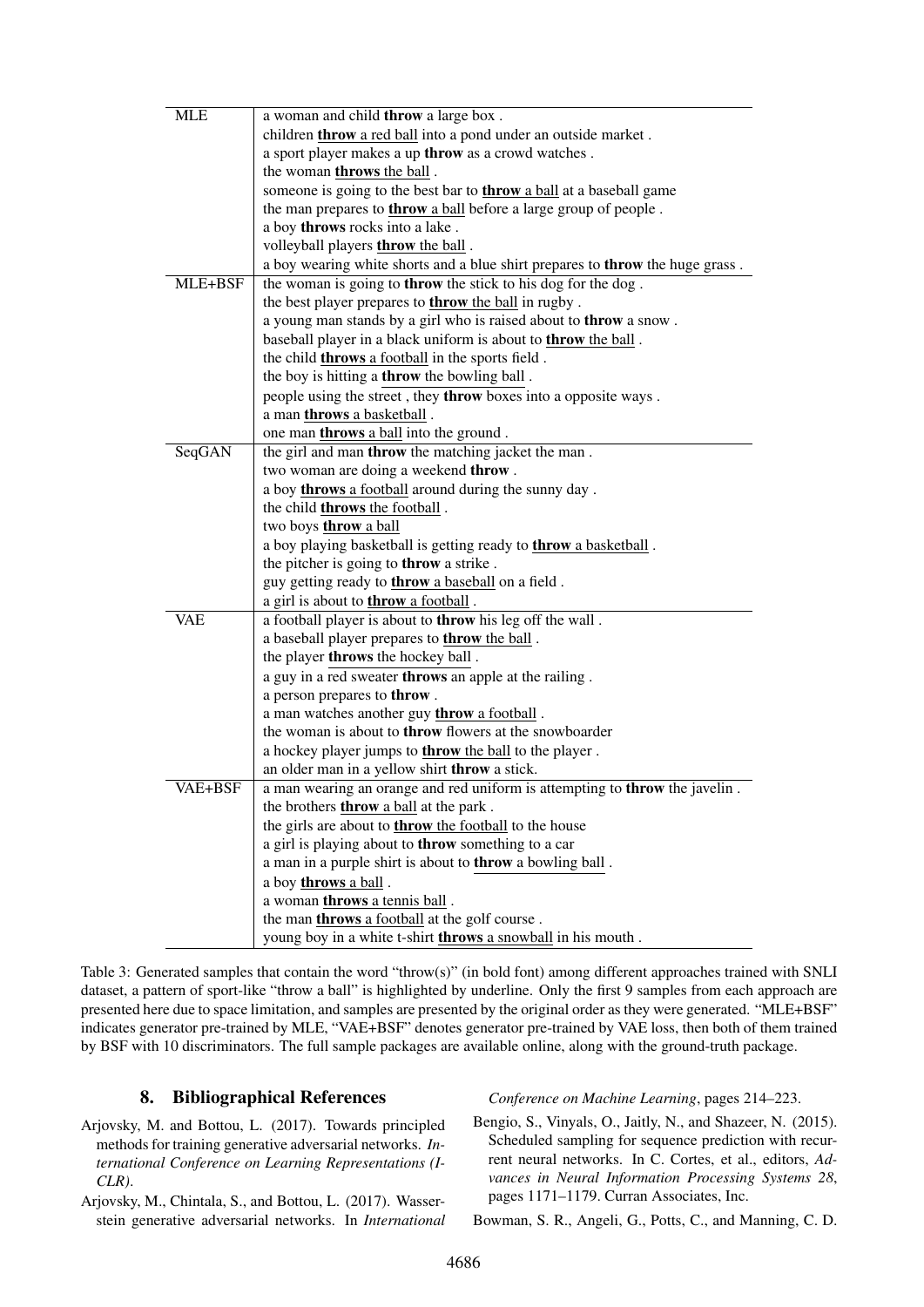<span id="page-6-4"></span>

| <b>MLE</b>     | a woman and child throw a large box.                                          |  |  |
|----------------|-------------------------------------------------------------------------------|--|--|
|                | children <b>throw</b> a red ball into a pond under an outside market.         |  |  |
|                | a sport player makes a up throw as a crowd watches.                           |  |  |
|                | the woman <b>throws</b> the ball.                                             |  |  |
|                | someone is going to the best bar to <b>throw</b> a ball at a baseball game    |  |  |
|                | the man prepares to <b>throw</b> a ball before a large group of people.       |  |  |
|                | a boy throws rocks into a lake.                                               |  |  |
|                | volleyball players <b>throw</b> the ball.                                     |  |  |
|                | a boy wearing white shorts and a blue shirt prepares to throw the huge grass. |  |  |
| MLE+BSF        | the woman is going to <b>throw</b> the stick to his dog for the dog.          |  |  |
|                | the best player prepares to <b>throw</b> the ball in rugby.                   |  |  |
|                | a young man stands by a girl who is raised about to throw a snow.             |  |  |
|                | baseball player in a black uniform is about to <b>throw</b> the ball.         |  |  |
|                | the child <b>throws</b> a football in the sports field.                       |  |  |
|                | the boy is hitting a <b>throw</b> the bowling ball.                           |  |  |
|                | people using the street, they throw boxes into a opposite ways.               |  |  |
|                | a man <b>throws</b> a basketball.                                             |  |  |
|                | one man <b>throws</b> a ball into the ground.                                 |  |  |
| SeqGAN         | the girl and man <b>throw</b> the matching jacket the man.                    |  |  |
|                | two woman are doing a weekend throw.                                          |  |  |
|                | a boy <b>throws</b> a football around during the sunny day.                   |  |  |
|                | the child <b>throws</b> the football.                                         |  |  |
|                | two boys throw a ball                                                         |  |  |
|                | a boy playing basketball is getting ready to <b>throw</b> a basketball.       |  |  |
|                | the pitcher is going to <b>throw</b> a strike.                                |  |  |
|                | guy getting ready to <b>throw</b> a baseball on a field.                      |  |  |
|                | a girl is about to <b>throw</b> a football.                                   |  |  |
| VAE            | a football player is about to <b>throw</b> his leg off the wall.              |  |  |
|                | a baseball player prepares to <b>throw</b> the ball.                          |  |  |
|                | the player throws the hockey ball.                                            |  |  |
|                | a guy in a red sweater throws an apple at the railing.                        |  |  |
|                | a person prepares to throw.                                                   |  |  |
|                | a man watches another guy throw a football.                                   |  |  |
|                | the woman is about to <b>throw</b> flowers at the snowboarder                 |  |  |
|                | a hockey player jumps to <b>throw</b> the ball to the player.                 |  |  |
|                | an older man in a yellow shirt throw a stick.                                 |  |  |
| <b>VAE+BSF</b> | a man wearing an orange and red uniform is attempting to throw the javelin.   |  |  |
|                | the brothers <b>throw</b> a ball at the park.                                 |  |  |
|                | the girls are about to <b>throw</b> the football to the house                 |  |  |
|                | a girl is playing about to throw something to a car                           |  |  |
|                | a man in a purple shirt is about to throw a bowling ball.                     |  |  |
|                | a boy throws a ball.                                                          |  |  |
|                | a woman throws a tennis ball.                                                 |  |  |
|                | the man throws a football at the golf course.                                 |  |  |
|                | young boy in a white t-shirt <b>throws</b> a snowball in his mouth.           |  |  |

Table 3: Generated samples that contain the word "throw(s)" (in bold font) among different approaches trained with SNLI dataset, a pattern of sport-like "throw a ball" is highlighted by underline. Only the first 9 samples from each approach are presented here due to space limitation, and samples are presented by the original order as they were generated. "MLE+BSF" indicates generator pre-trained by MLE, "VAE+BSF" denotes generator pre-trained by VAE loss, then both of them trained by BSF with 10 discriminators. The full sample packages are available online, along with the ground-truth package.

# 8. Bibliographical References

- <span id="page-6-2"></span>Arjovsky, M. and Bottou, L. (2017). Towards principled methods for training generative adversarial networks. *International Conference on Learning Representations (I-CLR)*.
- <span id="page-6-1"></span>Arjovsky, M., Chintala, S., and Bottou, L. (2017). Wasserstein generative adversarial networks. In *International*

*Conference on Machine Learning*, pages 214–223.

<span id="page-6-0"></span>Bengio, S., Vinyals, O., Jaitly, N., and Shazeer, N. (2015). Scheduled sampling for sequence prediction with recurrent neural networks. In C. Cortes, et al., editors, *Advances in Neural Information Processing Systems 28*, pages 1171–1179. Curran Associates, Inc.

<span id="page-6-3"></span>Bowman, S. R., Angeli, G., Potts, C., and Manning, C. D.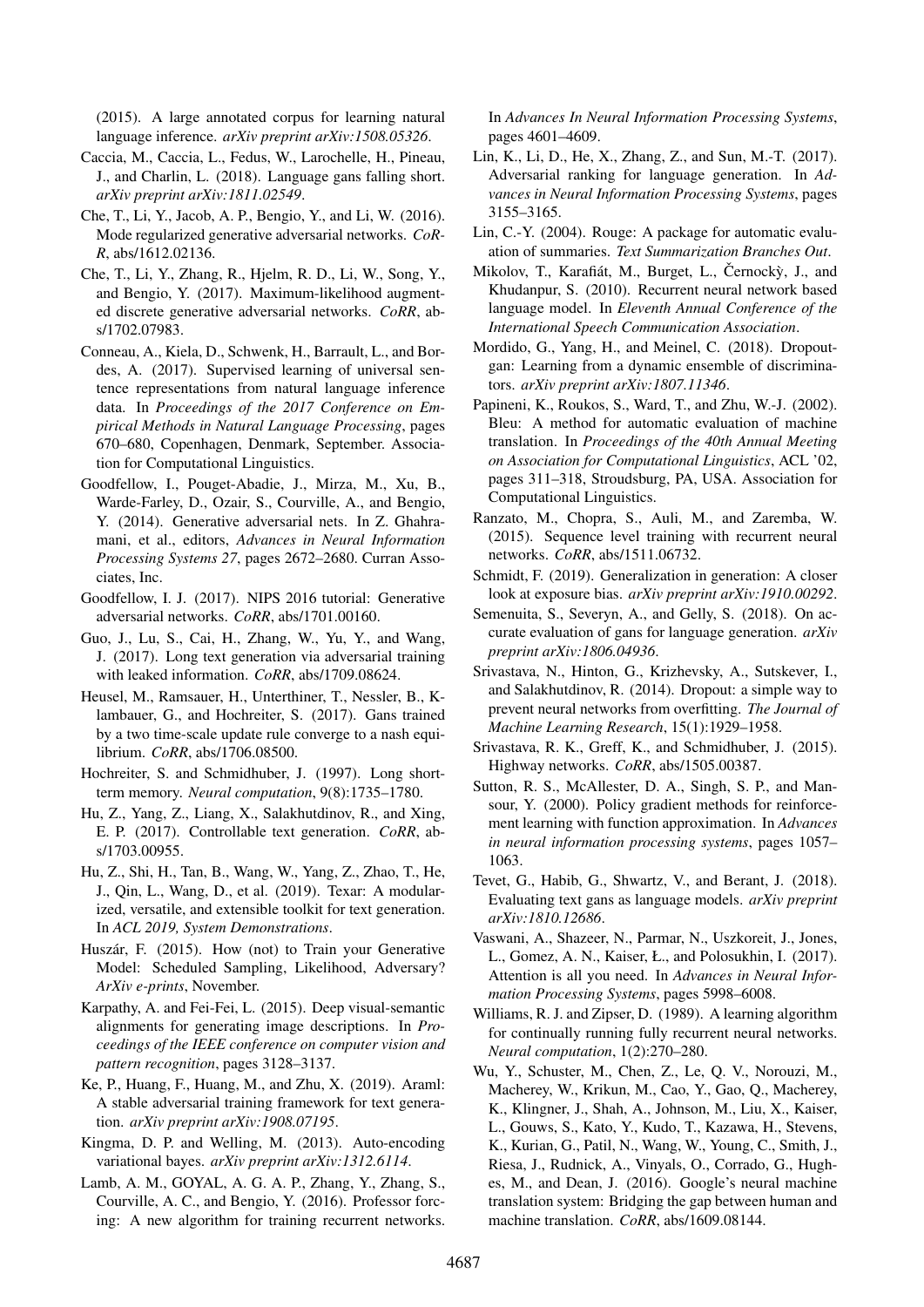(2015). A large annotated corpus for learning natural language inference. *arXiv preprint arXiv:1508.05326*.

- <span id="page-7-8"></span>Caccia, M., Caccia, L., Fedus, W., Larochelle, H., Pineau, J., and Charlin, L. (2018). Language gans falling short. *arXiv preprint arXiv:1811.02549*.
- <span id="page-7-22"></span>Che, T., Li, Y., Jacob, A. P., Bengio, Y., and Li, W. (2016). Mode regularized generative adversarial networks. *CoR-R*, abs/1612.02136.
- <span id="page-7-5"></span>Che, T., Li, Y., Zhang, R., Hjelm, R. D., Li, W., Song, Y., and Bengio, Y. (2017). Maximum-likelihood augmented discrete generative adversarial networks. *CoRR*, abs/1702.07983.
- <span id="page-7-30"></span>Conneau, A., Kiela, D., Schwenk, H., Barrault, L., and Bordes, A. (2017). Supervised learning of universal sentence representations from natural language inference data. In *Proceedings of the 2017 Conference on Empirical Methods in Natural Language Processing*, pages 670–680, Copenhagen, Denmark, September. Association for Computational Linguistics.
- <span id="page-7-4"></span>Goodfellow, I., Pouget-Abadie, J., Mirza, M., Xu, B., Warde-Farley, D., Ozair, S., Courville, A., and Bengio, Y. (2014). Generative adversarial nets. In Z. Ghahramani, et al., editors, *Advances in Neural Information Processing Systems 27*, pages 2672–2680. Curran Associates, Inc.
- <span id="page-7-21"></span>Goodfellow, I. J. (2017). NIPS 2016 tutorial: Generative adversarial networks. *CoRR*, abs/1701.00160.
- <span id="page-7-6"></span>Guo, J., Lu, S., Cai, H., Zhang, W., Yu, Y., and Wang, J. (2017). Long text generation via adversarial training with leaked information. *CoRR*, abs/1709.08624.
- <span id="page-7-29"></span>Heusel, M., Ramsauer, H., Unterthiner, T., Nessler, B., Klambauer, G., and Hochreiter, S. (2017). Gans trained by a two time-scale update rule converge to a nash equilibrium. *CoRR*, abs/1706.08500.
- <span id="page-7-26"></span>Hochreiter, S. and Schmidhuber, J. (1997). Long shortterm memory. *Neural computation*, 9(8):1735–1780.
- <span id="page-7-2"></span>Hu, Z., Yang, Z., Liang, X., Salakhutdinov, R., and Xing, E. P. (2017). Controllable text generation. *CoRR*, abs/1703.00955.
- <span id="page-7-28"></span>Hu, Z., Shi, H., Tan, B., Wang, W., Yang, Z., Zhao, T., He, J., Qin, L., Wang, D., et al. (2019). Texar: A modularized, versatile, and extensible toolkit for text generation. In *ACL 2019, System Demonstrations*.
- <span id="page-7-15"></span>Huszár, F. (2015). How (not) to Train your Generative Model: Scheduled Sampling, Likelihood, Adversary? *ArXiv e-prints*, November.
- <span id="page-7-0"></span>Karpathy, A. and Fei-Fei, L. (2015). Deep visual-semantic alignments for generating image descriptions. In *Proceedings of the IEEE conference on computer vision and pattern recognition*, pages 3128–3137.
- <span id="page-7-18"></span>Ke, P., Huang, F., Huang, M., and Zhu, X. (2019). Araml: A stable adversarial training framework for text generation. *arXiv preprint arXiv:1908.07195*.
- <span id="page-7-16"></span>Kingma, D. P. and Welling, M. (2013). Auto-encoding variational bayes. *arXiv preprint arXiv:1312.6114*.
- <span id="page-7-13"></span>Lamb, A. M., GOYAL, A. G. A. P., Zhang, Y., Zhang, S., Courville, A. C., and Bengio, Y. (2016). Professor forcing: A new algorithm for training recurrent networks.

In *Advances In Neural Information Processing Systems*, pages 4601–4609.

- <span id="page-7-7"></span>Lin, K., Li, D., He, X., Zhang, Z., and Sun, M.-T. (2017). Adversarial ranking for language generation. In *Advances in Neural Information Processing Systems*, pages 3155–3165.
- <span id="page-7-20"></span>Lin, C.-Y. (2004). Rouge: A package for automatic evaluation of summaries. *Text Summarization Branches Out*.
- <span id="page-7-11"></span>Mikolov, T., Karafiát, M., Burget, L., Černockỳ, J., and Khudanpur, S. (2010). Recurrent neural network based language model. In *Eleventh Annual Conference of the International Speech Communication Association*.
- <span id="page-7-23"></span>Mordido, G., Yang, H., and Meinel, C. (2018). Dropoutgan: Learning from a dynamic ensemble of discriminators. *arXiv preprint arXiv:1807.11346*.
- <span id="page-7-19"></span>Papineni, K., Roukos, S., Ward, T., and Zhu, W.-J. (2002). Bleu: A method for automatic evaluation of machine translation. In *Proceedings of the 40th Annual Meeting on Association for Computational Linguistics*, ACL '02, pages 311–318, Stroudsburg, PA, USA. Association for Computational Linguistics.
- <span id="page-7-14"></span>Ranzato, M., Chopra, S., Auli, M., and Zaremba, W. (2015). Sequence level training with recurrent neural networks. *CoRR*, abs/1511.06732.
- <span id="page-7-3"></span>Schmidt, F. (2019). Generalization in generation: A closer look at exposure bias. *arXiv preprint arXiv:1910.00292*.
- <span id="page-7-9"></span>Semenuita, S., Severyn, A., and Gelly, S. (2018). On accurate evaluation of gans for language generation. *arXiv preprint arXiv:1806.04936*.
- <span id="page-7-24"></span>Srivastava, N., Hinton, G., Krizhevsky, A., Sutskever, I., and Salakhutdinov, R. (2014). Dropout: a simple way to prevent neural networks from overfitting. *The Journal of Machine Learning Research*, 15(1):1929–1958.
- <span id="page-7-27"></span>Srivastava, R. K., Greff, K., and Schmidhuber, J. (2015). Highway networks. *CoRR*, abs/1505.00387.
- <span id="page-7-17"></span>Sutton, R. S., McAllester, D. A., Singh, S. P., and Mansour, Y. (2000). Policy gradient methods for reinforcement learning with function approximation. In *Advances in neural information processing systems*, pages 1057– 1063.
- <span id="page-7-10"></span>Tevet, G., Habib, G., Shwartz, V., and Berant, J. (2018). Evaluating text gans as language models. *arXiv preprint arXiv:1810.12686*.
- <span id="page-7-25"></span>Vaswani, A., Shazeer, N., Parmar, N., Uszkoreit, J., Jones, L., Gomez, A. N., Kaiser, Ł., and Polosukhin, I. (2017). Attention is all you need. In *Advances in Neural Information Processing Systems*, pages 5998–6008.
- <span id="page-7-12"></span>Williams, R. J. and Zipser, D. (1989). A learning algorithm for continually running fully recurrent neural networks. *Neural computation*, 1(2):270–280.
- <span id="page-7-1"></span>Wu, Y., Schuster, M., Chen, Z., Le, Q. V., Norouzi, M., Macherey, W., Krikun, M., Cao, Y., Gao, Q., Macherey, K., Klingner, J., Shah, A., Johnson, M., Liu, X., Kaiser, L., Gouws, S., Kato, Y., Kudo, T., Kazawa, H., Stevens, K., Kurian, G., Patil, N., Wang, W., Young, C., Smith, J., Riesa, J., Rudnick, A., Vinyals, O., Corrado, G., Hughes, M., and Dean, J. (2016). Google's neural machine translation system: Bridging the gap between human and machine translation. *CoRR*, abs/1609.08144.